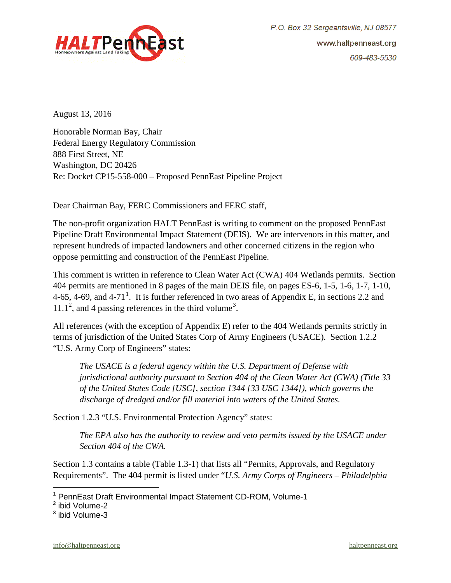

August 13, 2016

Honorable Norman Bay, Chair Federal Energy Regulatory Commission 888 First Street, NE Washington, DC 20426 Re: Docket CP15-558-000 – Proposed PennEast Pipeline Project

Dear Chairman Bay, FERC Commissioners and FERC staff,

The non-profit organization HALT PennEast is writing to comment on the proposed PennEast Pipeline Draft Environmental Impact Statement (DEIS). We are intervenors in this matter, and represent hundreds of impacted landowners and other concerned citizens in the region who oppose permitting and construction of the PennEast Pipeline.

This comment is written in reference to Clean Water Act (CWA) 404 Wetlands permits. Section 404 permits are mentioned in 8 pages of the main DEIS file, on pages ES-6, 1-5, 1-6, 1-7, 1-10, 4-65, 4-69, and 4-7[1](#page-0-0)<sup>1</sup>. It is further referenced in two areas of Appendix E, in sections 2.2 and  $11.1<sup>2</sup>$  $11.1<sup>2</sup>$  $11.1<sup>2</sup>$ , and 4 passing references in the third volume<sup>[3](#page-0-2)</sup>.

All references (with the exception of Appendix E) refer to the 404 Wetlands permits strictly in terms of jurisdiction of the United States Corp of Army Engineers (USACE). Section 1.2.2 "U.S. Army Corp of Engineers" states:

*The USACE is a federal agency within the U.S. Department of Defense with jurisdictional authority pursuant to Section 404 of the Clean Water Act (CWA) (Title 33 of the United States Code [USC], section 1344 [33 USC 1344]), which governs the discharge of dredged and/or fill material into waters of the United States.*

Section 1.2.3 "U.S. Environmental Protection Agency" states:

*The EPA also has the authority to review and veto permits issued by the USACE under Section 404 of the CWA.*

Section 1.3 contains a table (Table 1.3-1) that lists all "Permits, Approvals, and Regulatory Requirements". The 404 permit is listed under "*U.S. Army Corps of Engineers – Philadelphia*

 $\overline{a}$ 

<span id="page-0-0"></span><sup>1</sup> PennEast Draft Environmental Impact Statement CD-ROM, Volume-1

<span id="page-0-1"></span><sup>2</sup> ibid Volume-2

<span id="page-0-2"></span><sup>3</sup> ibid Volume-3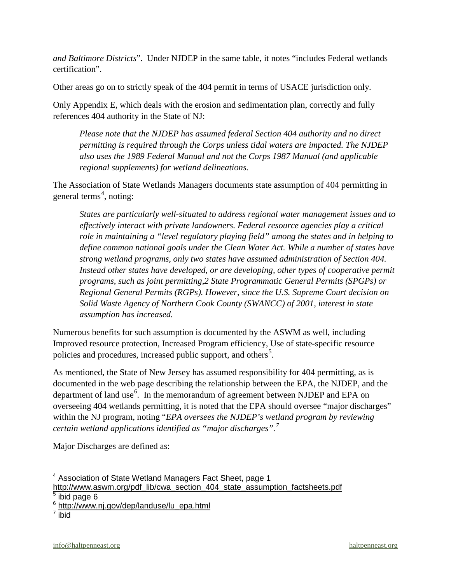*and Baltimore Districts*". Under NJDEP in the same table, it notes "includes Federal wetlands certification".

Other areas go on to strictly speak of the 404 permit in terms of USACE jurisdiction only.

Only Appendix E, which deals with the erosion and sedimentation plan, correctly and fully references 404 authority in the State of NJ:

*Please note that the NJDEP has assumed federal Section 404 authority and no direct permitting is required through the Corps unless tidal waters are impacted. The NJDEP also uses the 1989 Federal Manual and not the Corps 1987 Manual (and applicable regional supplements) for wetland delineations.*

The Association of State Wetlands Managers documents state assumption of 404 permitting in general terms<sup>[4](#page-1-0)</sup>, noting:

*States are particularly well-situated to address regional water management issues and to effectively interact with private landowners. Federal resource agencies play a critical role in maintaining a "level regulatory playing field" among the states and in helping to define common national goals under the Clean Water Act. While a number of states have strong wetland programs, only two states have assumed administration of Section 404. Instead other states have developed, or are developing, other types of cooperative permit programs, such as joint permitting,2 State Programmatic General Permits (SPGPs) or Regional General Permits (RGPs). However, since the U.S. Supreme Court decision on Solid Waste Agency of Northern Cook County (SWANCC) of 2001, interest in state assumption has increased.*

Numerous benefits for such assumption is documented by the ASWM as well, including Improved resource protection, Increased Program efficiency, Use of state-specific resource policies and procedures, increased public support, and others<sup>[5](#page-1-1)</sup>.

As mentioned, the State of New Jersey has assumed responsibility for 404 permitting, as is documented in the web page describing the relationship between the EPA, the NJDEP, and the department of land use $^6$  $^6$ . In the memorandum of agreement between NJDEP and EPA on overseeing 404 wetlands permitting, it is noted that the EPA should oversee "major discharges" within the NJ program, noting "*EPA oversees the NJDEP's wetland program by reviewing certain wetland applications identified as "major discharges".[7](#page-1-3)*

Major Discharges are defined as:

 $\overline{a}$ 

<span id="page-1-0"></span> $4$  Association of State Wetland Managers Fact Sheet, page 1

[http://www.aswm.org/pdf\\_lib/cwa\\_section\\_404\\_state\\_assumption\\_factsheets.pdf](http://www.aswm.org/pdf_lib/cwa_section_404_state_assumption_factsheets.pdf)  $\overline{\overline{\phantom{1}}^5}$ ibid page 6

<span id="page-1-3"></span><span id="page-1-2"></span><span id="page-1-1"></span><sup>&</sup>lt;sup>6</sup> [http://www.nj.gov/dep/landuse/lu\\_epa.html](http://www.nj.gov/dep/landuse/lu_epa.html)

 $\frac{7}{1}$ ibid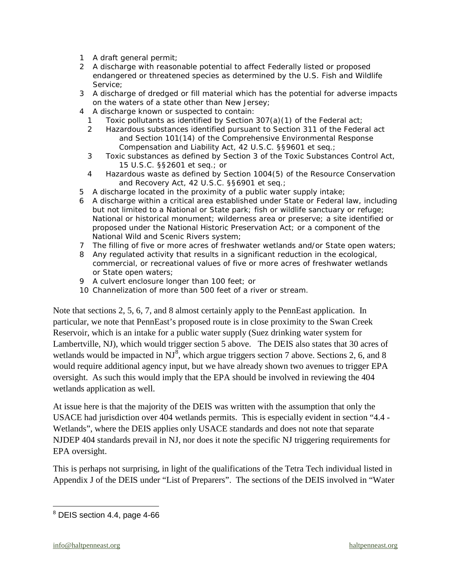- *1 A draft general permit;*
- *2 A discharge with reasonable potential to affect Federally listed or proposed endangered or threatened species as determined by the U.S. Fish and Wildlife Service;*
- *3 A discharge of dredged or fill material which has the potential for adverse impacts on the waters of a state other than New Jersey;*
- *4 A discharge known or suspected to contain:*
	- *1 Toxic pollutants as identified by Section 307(a)(1) of the Federal act;*
	- *2 Hazardous substances identified pursuant to Section 311 of the Federal act and Section 101(14) of the Comprehensive Environmental Response Compensation and Liability Act, 42 U.S.C. §§9601 et seq.;*
	- *3 Toxic substances as defined by Section 3 of the Toxic Substances Control Act, 15 U.S.C. §§2601 et seq.; or*
	- *4 Hazardous waste as defined by Section 1004(5) of the Resource Conservation and Recovery Act, 42 U.S.C. §§6901 et seq.;*
- *5 A discharge located in the proximity of a public water supply intake;*
- *6 A discharge within a critical area established under State or Federal law, including but not limited to a National or State park; fish or wildlife sanctuary or refuge; National or historical monument; wilderness area or preserve; a site identified or proposed under the National Historic Preservation Act; or a component of the National Wild and Scenic Rivers system;*
- *7 The filling of five or more acres of freshwater wetlands and/or State open waters;*
- *8 Any regulated activity that results in a significant reduction in the ecological, commercial, or recreational values of five or more acres of freshwater wetlands or State open waters;*
- *9 A culvert enclosure longer than 100 feet; or*
- *10 Channelization of more than 500 feet of a river or stream.*

Note that sections 2, 5, 6, 7, and 8 almost certainly apply to the PennEast application. In particular, we note that PennEast's proposed route is in close proximity to the Swan Creek Reservoir, which is an intake for a public water supply (Suez drinking water system for Lambertville, NJ), which would trigger section 5 above. The DEIS also states that 30 acres of wetlands would be impacted in  $NJ^8$  $NJ^8$ , which argue triggers section 7 above. Sections 2, 6, and 8 would require additional agency input, but we have already shown two avenues to trigger EPA oversight. As such this would imply that the EPA should be involved in reviewing the 404 wetlands application as well.

At issue here is that the majority of the DEIS was written with the assumption that only the USACE had jurisdiction over 404 wetlands permits. This is especially evident in section "4.4 - Wetlands", where the DEIS applies only USACE standards and does not note that separate NJDEP 404 standards prevail in NJ, nor does it note the specific NJ triggering requirements for EPA oversight.

This is perhaps not surprising, in light of the qualifications of the Tetra Tech individual listed in Appendix J of the DEIS under "List of Preparers". The sections of the DEIS involved in "Water

 $\overline{a}$ 

<span id="page-2-0"></span><sup>8</sup> DEIS section 4.4, page 4-66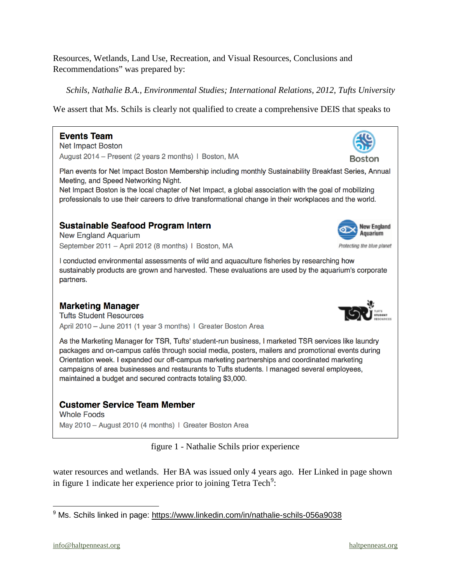Resources, Wetlands, Land Use, Recreation, and Visual Resources, Conclusions and Recommendations" was prepared by:

*Schils, Nathalie B.A., Environmental Studies; International Relations, 2012, Tufts University*

We assert that Ms. Schils is clearly not qualified to create a comprehensive DEIS that speaks to

#### **Events Team**

**Net Impact Boston** August 2014 - Present (2 years 2 months) | Boston, MA

Plan events for Net Impact Boston Membership including monthly Sustainability Breakfast Series, Annual Meeting, and Speed Networking Night.

Net Impact Boston is the local chapter of Net Impact, a global association with the goal of mobilizing professionals to use their careers to drive transformational change in their workplaces and the world.

## **Sustainable Seafood Program Intern**

**New England Aquarium** September 2011 - April 2012 (8 months) | Boston, MA

I conducted environmental assessments of wild and aquaculture fisheries by researching how sustainably products are grown and harvested. These evaluations are used by the aquarium's corporate partners.

### **Marketing Manager**

**Tufts Student Resources** April 2010 - June 2011 (1 year 3 months) | Greater Boston Area

As the Marketing Manager for TSR, Tufts' student-run business, I marketed TSR services like laundry packages and on-campus cafés through social media, posters, mailers and promotional events during Orientation week. I expanded our off-campus marketing partnerships and coordinated marketing campaigns of area businesses and restaurants to Tufts students. I managed several employees, maintained a budget and secured contracts totaling \$3,000.

### **Customer Service Team Member**

**Whole Foods** May 2010 - August 2010 (4 months) | Greater Boston Area

figure 1 - Nathalie Schils prior experience

water resources and wetlands. Her BA was issued only 4 years ago. Her Linked in page shown in figure 1 indicate her experience prior to joining Tetra Tech<sup>[9](#page-3-0)</sup>:

<span id="page-3-0"></span> $\overline{a}$  $9$  Ms. Schils linked in page: <https://www.linkedin.com/in/nathalie-schils-056a9038>





Boston

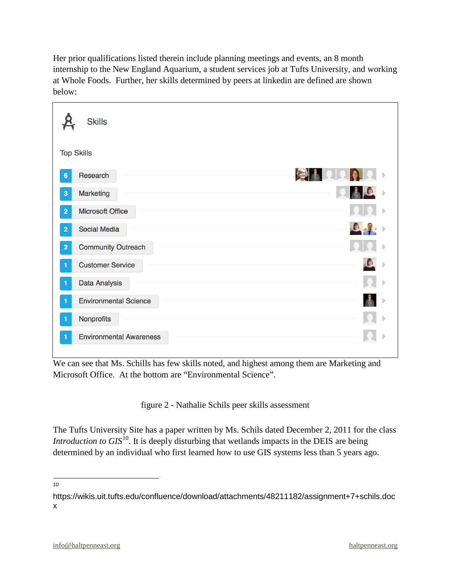Her prior qualifications listed therein include planning meetings and events, an 8 month internship to the New England Aquarium, a student services job at Tufts University, and working at Whole Foods. Further, her skills determined by peers at linkedin are defined are shown below:

| <b>Skills</b>                               |           |
|---------------------------------------------|-----------|
| <b>Top Skills</b>                           |           |
| Research<br>$6\phantom{a}$                  | <b>IC</b> |
| Marketing<br>$\ddot{\textbf{3}}$            |           |
| <b>Microsoft Office</b><br>$\overline{2}$   |           |
| <b>Social Media</b><br>$\overline{2}$       |           |
| <b>Community Outreach</b><br>$\overline{2}$ |           |
| <b>Customer Service</b>                     |           |
| <b>Data Analysis</b><br>1                   |           |
| <b>Environmental Science</b>                |           |
| Nonprofits                                  |           |
| <b>Environmental Awareness</b><br>1         |           |

We can see that Ms. Schills has few skills noted, and highest among them are Marketing and Microsoft Office. At the bottom are "Environmental Science".

figure 2 - Nathalie Schils peer skills assessment

The Tufts University Site has a paper written by Ms. Schils dated December 2, 2011 for the class *Introduction to GIS*<sup>10</sup>. It is deeply disturbing that wetlands impacts in the DEIS are being determined by an individual who first learned how to use GIS systems less than 5 years ago.

 $\frac{1}{10}$ 

<span id="page-4-0"></span>https://wikis.uit.tufts.edu/confluence/download/attachments/48211182/assignment+7+schils.doc x